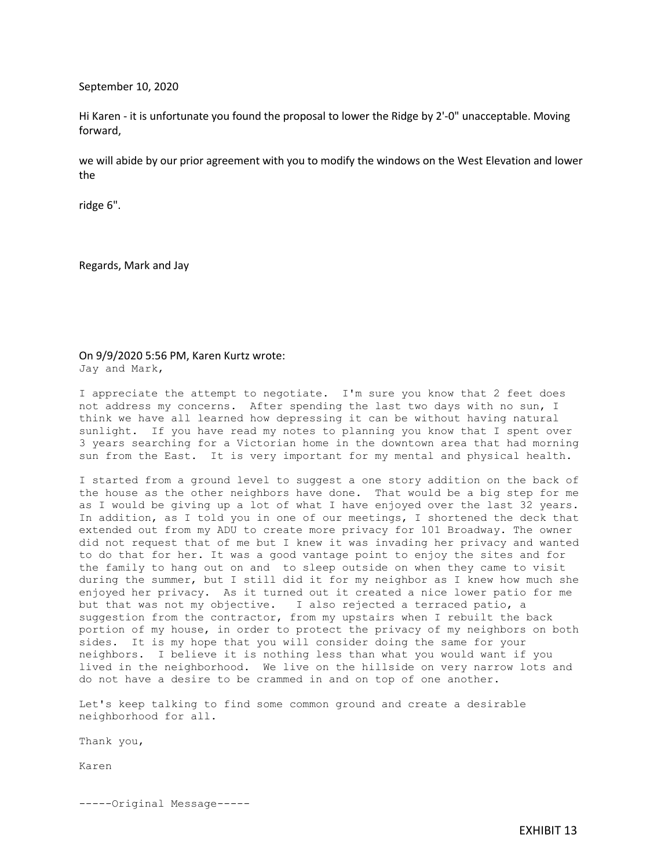September 10, 2020

Hi Karen - it is unfortunate you found the proposal to lower the Ridge by 2'-0" unacceptable. Moving forward,

we will abide by our prior agreement with you to modify the windows on the West Elevation and lower the

ridge 6".

Regards, Mark and Jay

## On 9/9/2020 5:56 PM, Karen Kurtz wrote: Jay and Mark,

I appreciate the attempt to negotiate. I'm sure you know that 2 feet does not address my concerns. After spending the last two days with no sun, I think we have all learned how depressing it can be without having natural sunlight. If you have read my notes to planning you know that I spent over 3 years searching for a Victorian home in the downtown area that had morning sun from the East. It is very important for my mental and physical health.

I started from a ground level to suggest a one story addition on the back of the house as the other neighbors have done. That would be a big step for me as I would be giving up a lot of what I have enjoyed over the last 32 years. In addition, as I told you in one of our meetings, I shortened the deck that extended out from my ADU to create more privacy for 101 Broadway. The owner did not request that of me but I knew it was invading her privacy and wanted to do that for her. It was a good vantage point to enjoy the sites and for the family to hang out on and to sleep outside on when they came to visit during the summer, but I still did it for my neighbor as I knew how much she enjoyed her privacy. As it turned out it created a nice lower patio for me but that was not my objective. I also rejected a terraced patio, a suggestion from the contractor, from my upstairs when I rebuilt the back portion of my house, in order to protect the privacy of my neighbors on both sides. It is my hope that you will consider doing the same for your neighbors. I believe it is nothing less than what you would want if you lived in the neighborhood. We live on the hillside on very narrow lots and do not have a desire to be crammed in and on top of one another.

Let's keep talking to find some common ground and create a desirable neighborhood for all.

Thank you,

Karen

-----Original Message-----